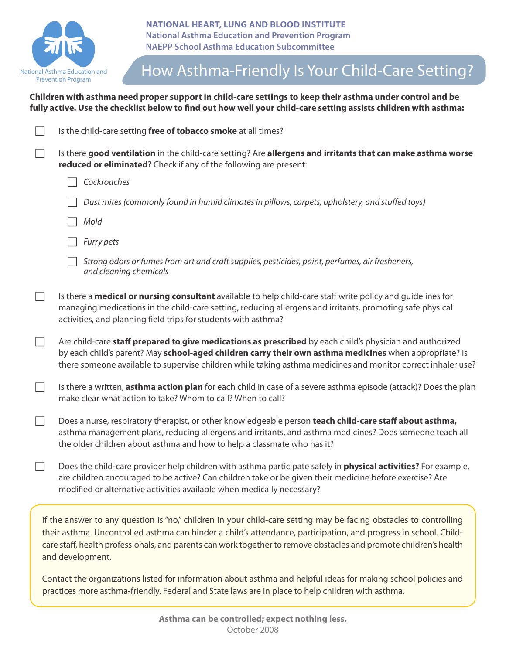

## How Asthma-Friendly Is Your Child-Care Setting?

**Children with asthma need proper support in child-care settings to keep their asthma under control and be fully active. use the checklist below to find out how well your child-care setting assists children with asthma:**

|                                                                                                                                                                                                                                                                                                                                                                                | Is the child-care setting free of tobacco smoke at all times?                                                                                                                                                                                                                                                                      |
|--------------------------------------------------------------------------------------------------------------------------------------------------------------------------------------------------------------------------------------------------------------------------------------------------------------------------------------------------------------------------------|------------------------------------------------------------------------------------------------------------------------------------------------------------------------------------------------------------------------------------------------------------------------------------------------------------------------------------|
|                                                                                                                                                                                                                                                                                                                                                                                | Is there good ventilation in the child-care setting? Are allergens and irritants that can make asthma worse<br>reduced or eliminated? Check if any of the following are present:                                                                                                                                                   |
|                                                                                                                                                                                                                                                                                                                                                                                | Cockroaches                                                                                                                                                                                                                                                                                                                        |
|                                                                                                                                                                                                                                                                                                                                                                                | Dust mites (commonly found in humid climates in pillows, carpets, upholstery, and stuffed toys)                                                                                                                                                                                                                                    |
|                                                                                                                                                                                                                                                                                                                                                                                | Mold                                                                                                                                                                                                                                                                                                                               |
|                                                                                                                                                                                                                                                                                                                                                                                | Furry pets                                                                                                                                                                                                                                                                                                                         |
|                                                                                                                                                                                                                                                                                                                                                                                | Strong odors or fumes from art and craft supplies, pesticides, paint, perfumes, air fresheners,<br>and cleaning chemicals                                                                                                                                                                                                          |
|                                                                                                                                                                                                                                                                                                                                                                                | Is there a <b>medical or nursing consultant</b> available to help child-care staff write policy and guidelines for<br>managing medications in the child-care setting, reducing allergens and irritants, promoting safe physical<br>activities, and planning field trips for students with asthma?                                  |
|                                                                                                                                                                                                                                                                                                                                                                                | Are child-care staff prepared to give medications as prescribed by each child's physician and authorized<br>by each child's parent? May school-aged children carry their own asthma medicines when appropriate? Is<br>there someone available to supervise children while taking asthma medicines and monitor correct inhaler use? |
|                                                                                                                                                                                                                                                                                                                                                                                | Is there a written, asthma action plan for each child in case of a severe asthma episode (attack)? Does the plan<br>make clear what action to take? Whom to call? When to call?                                                                                                                                                    |
| $\Box$                                                                                                                                                                                                                                                                                                                                                                         | Does a nurse, respiratory therapist, or other knowledgeable person teach child-care staff about asthma,<br>asthma management plans, reducing allergens and irritants, and asthma medicines? Does someone teach all<br>the older children about asthma and how to help a classmate who has it?                                      |
|                                                                                                                                                                                                                                                                                                                                                                                | Does the child-care provider help children with asthma participate safely in <b>physical activities?</b> For example,<br>are children encouraged to be active? Can children take or be given their medicine before exercise? Are<br>modified or alternative activities available when medically necessary?                         |
| If the answer to any question is "no," children in your child-care setting may be facing obstacles to controlling<br>their asthma. Uncontrolled asthma can hinder a child's attendance, participation, and progress in school. Child-<br>care staff, health professionals, and parents can work together to remove obstacles and promote children's health<br>and development. |                                                                                                                                                                                                                                                                                                                                    |
|                                                                                                                                                                                                                                                                                                                                                                                | Contact the organizations listed for information about asthma and helpful ideas for making school policies and<br>practices more asthma-friendly. Federal and State laws are in place to help children with asthma.                                                                                                                |